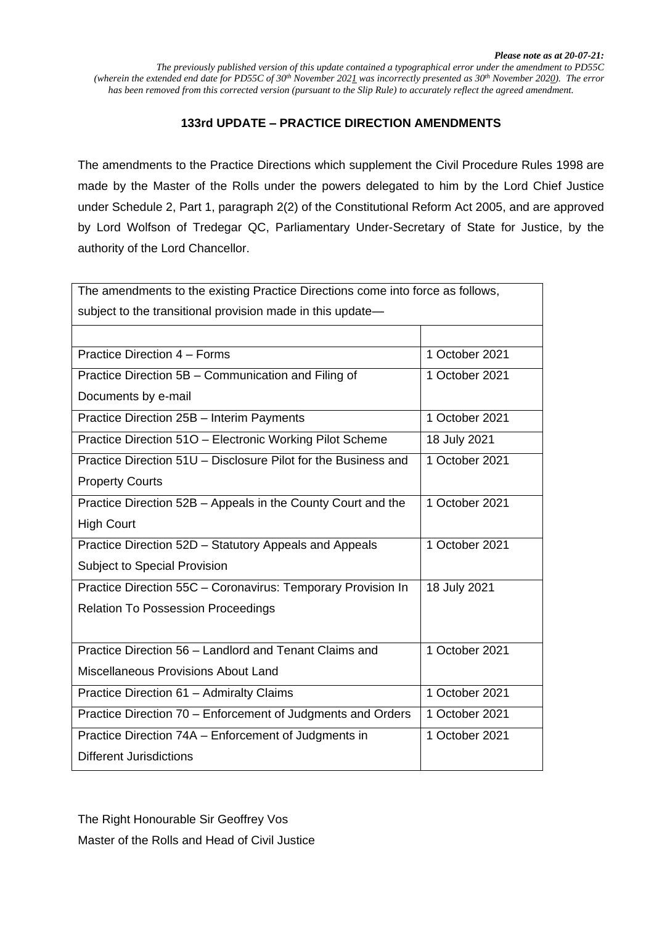### **133rd UPDATE – PRACTICE DIRECTION AMENDMENTS**

The amendments to the Practice Directions which supplement the Civil Procedure Rules 1998 are made by the Master of the Rolls under the powers delegated to him by the Lord Chief Justice under Schedule 2, Part 1, paragraph 2(2) of the Constitutional Reform Act 2005, and are approved by Lord Wolfson of Tredegar QC, Parliamentary Under-Secretary of State for Justice, by the authority of the Lord Chancellor.

| The amendments to the existing Practice Directions come into force as follows, |                |
|--------------------------------------------------------------------------------|----------------|
| subject to the transitional provision made in this update-                     |                |
|                                                                                |                |
| Practice Direction 4 - Forms                                                   | 1 October 2021 |
| Practice Direction 5B - Communication and Filing of                            | 1 October 2021 |
| Documents by e-mail                                                            |                |
| Practice Direction 25B - Interim Payments                                      | 1 October 2021 |
| Practice Direction 510 - Electronic Working Pilot Scheme                       | 18 July 2021   |
| Practice Direction 51U - Disclosure Pilot for the Business and                 | 1 October 2021 |
| <b>Property Courts</b>                                                         |                |
| Practice Direction 52B - Appeals in the County Court and the                   | 1 October 2021 |
| <b>High Court</b>                                                              |                |
| Practice Direction 52D - Statutory Appeals and Appeals                         | 1 October 2021 |
| Subject to Special Provision                                                   |                |
| Practice Direction 55C - Coronavirus: Temporary Provision In                   | 18 July 2021   |
| <b>Relation To Possession Proceedings</b>                                      |                |
|                                                                                |                |
| Practice Direction 56 - Landlord and Tenant Claims and                         | 1 October 2021 |
| Miscellaneous Provisions About Land                                            |                |
| Practice Direction 61 - Admiralty Claims                                       | 1 October 2021 |
| Practice Direction 70 - Enforcement of Judgments and Orders                    | 1 October 2021 |
| Practice Direction 74A – Enforcement of Judgments in                           | 1 October 2021 |
| <b>Different Jurisdictions</b>                                                 |                |

The Right Honourable Sir Geoffrey Vos Master of the Rolls and Head of Civil Justice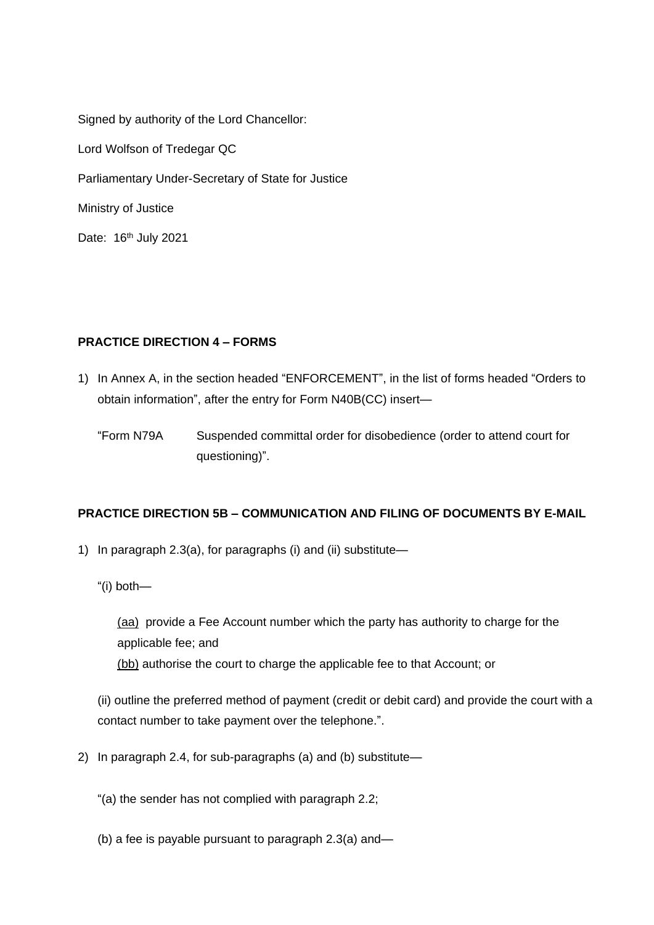Signed by authority of the Lord Chancellor: Lord Wolfson of Tredegar QC Parliamentary Under-Secretary of State for Justice Ministry of Justice Date: 16<sup>th</sup> July 2021

## **PRACTICE DIRECTION 4 – FORMS**

1) In Annex A, in the section headed "ENFORCEMENT", in the list of forms headed "Orders to obtain information", after the entry for Form N40B(CC) insert—

"Form N79A Suspended committal order for disobedience (order to attend court for questioning)".

### **PRACTICE DIRECTION 5B – COMMUNICATION AND FILING OF DOCUMENTS BY E-MAIL**

- 1) In paragraph 2.3(a), for paragraphs (i) and (ii) substitute—
	- "(i) both—

(aa) provide a Fee Account number which the party has authority to charge for the applicable fee; and (bb) authorise the court to charge the applicable fee to that Account; or

(ii) outline the preferred method of payment (credit or debit card) and provide the court with a contact number to take payment over the telephone.".

- 2) In paragraph 2.4, for sub-paragraphs (a) and (b) substitute—
	- "(a) the sender has not complied with paragraph 2.2;
	- (b) a fee is payable pursuant to paragraph 2.3(a) and—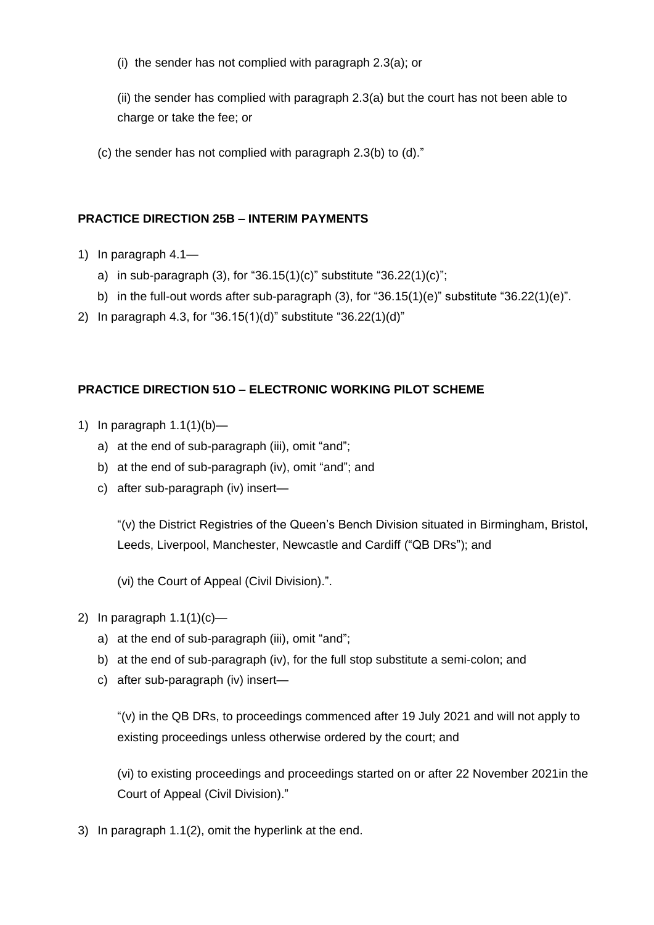(i) the sender has not complied with paragraph 2.3(a); or

(ii) the sender has complied with paragraph 2.3(a) but the court has not been able to charge or take the fee; or

(c) the sender has not complied with paragraph 2.3(b) to (d)."

### **PRACTICE DIRECTION 25B – INTERIM PAYMENTS**

- 1) In paragraph 4.1
	- a) in sub-paragraph (3), for "36.15(1)(c)" substitute "36.22(1)(c)";
	- b) in the full-out words after sub-paragraph (3), for "36.15(1)(e)" substitute "36.22(1)(e)".
- 2) In paragraph 4.3, for "36.15(1)(d)" substitute "36.22(1)(d)"

### **PRACTICE DIRECTION 51O – ELECTRONIC WORKING PILOT SCHEME**

- 1) In paragraph  $1.1(1)(b)$ 
	- a) at the end of sub-paragraph (iii), omit "and";
	- b) at the end of sub-paragraph (iv), omit "and"; and
	- c) after sub-paragraph (iv) insert—

"(v) the District Registries of the Queen's Bench Division situated in Birmingham, Bristol, Leeds, Liverpool, Manchester, Newcastle and Cardiff ("QB DRs"); and

(vi) the Court of Appeal (Civil Division).".

- 2) In paragraph  $1.1(1)(c)$ 
	- a) at the end of sub-paragraph (iii), omit "and";
	- b) at the end of sub-paragraph (iv), for the full stop substitute a semi-colon; and
	- c) after sub-paragraph (iv) insert—

"(v) in the QB DRs, to proceedings commenced after 19 July 2021 and will not apply to existing proceedings unless otherwise ordered by the court; and

(vi) to existing proceedings and proceedings started on or after 22 November 2021in the Court of Appeal (Civil Division)."

3) In paragraph 1.1(2), omit the hyperlink at the end.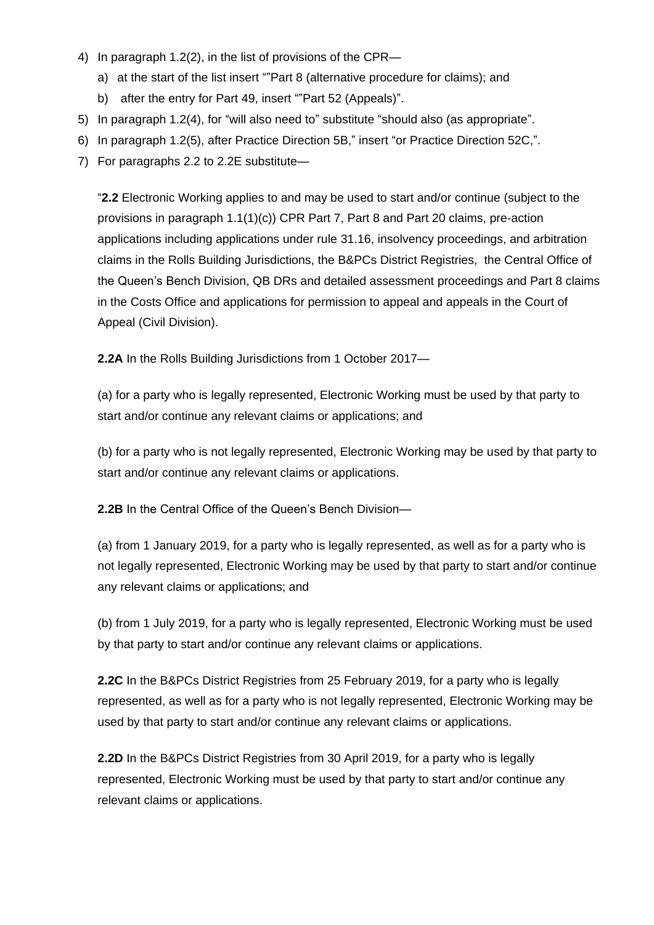- 4) In paragraph 1.2(2), in the list of provisions of the CPR
	- a) at the start of the list insert ""Part 8 (alternative procedure for claims); and
	- b) after the entry for Part 49, insert ""Part 52 (Appeals)".
- 5) In paragraph 1.2(4), for "will also need to" substitute "should also (as appropriate".
- 6) In paragraph 1.2(5), after Practice Direction 5B," insert "or Practice Direction 52C,".
- 7) For paragraphs 2.2 to 2.2E substitute—

"**2.2** Electronic Working applies to and may be used to start and/or continue (subject to the provisions in paragraph 1.1(1)(c)) CPR Part 7, Part 8 and Part 20 claims, pre-action applications including applications under rule 31.16, insolvency proceedings, and arbitration claims in the Rolls Building Jurisdictions, the B&PCs District Registries, the Central Office of the Queen's Bench Division, QB DRs and detailed assessment proceedings and Part 8 claims in the Costs Office and applications for permission to appeal and appeals in the Court of Appeal (Civil Division).

**2.2A** In the Rolls Building Jurisdictions from 1 October 2017—

(a) for a party who is legally represented, Electronic Working must be used by that party to start and/or continue any relevant claims or applications; and

(b) for a party who is not legally represented, Electronic Working may be used by that party to start and/or continue any relevant claims or applications.

**2.2B** In the Central Office of the Queen's Bench Division—

(a) from 1 January 2019, for a party who is legally represented, as well as for a party who is not legally represented, Electronic Working may be used by that party to start and/or continue any relevant claims or applications; and

(b) from 1 July 2019, for a party who is legally represented, Electronic Working must be used by that party to start and/or continue any relevant claims or applications.

**2.2C** In the B&PCs District Registries from 25 February 2019, for a party who is legally represented, as well as for a party who is not legally represented, Electronic Working may be used by that party to start and/or continue any relevant claims or applications.

**2.2D** In the B&PCs District Registries from 30 April 2019, for a party who is legally represented, Electronic Working must be used by that party to start and/or continue any relevant claims or applications.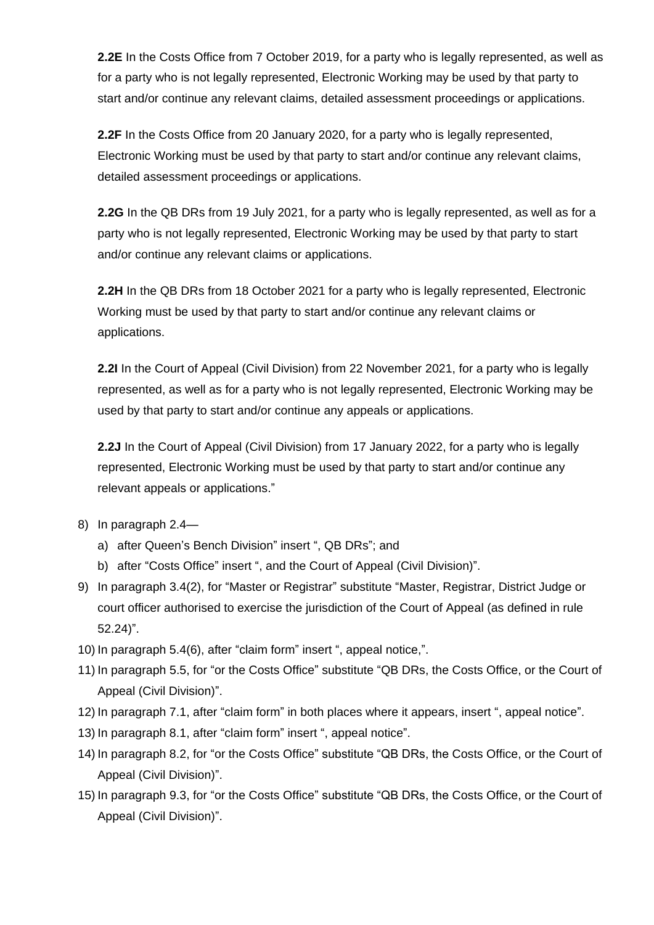**2.2E** In the Costs Office from 7 October 2019, for a party who is legally represented, as well as for a party who is not legally represented, Electronic Working may be used by that party to start and/or continue any relevant claims, detailed assessment proceedings or applications.

**2.2F** In the Costs Office from 20 January 2020, for a party who is legally represented, Electronic Working must be used by that party to start and/or continue any relevant claims, detailed assessment proceedings or applications.

**2.2G** In the QB DRs from 19 July 2021, for a party who is legally represented, as well as for a party who is not legally represented, Electronic Working may be used by that party to start and/or continue any relevant claims or applications.

**2.2H** In the QB DRs from 18 October 2021 for a party who is legally represented, Electronic Working must be used by that party to start and/or continue any relevant claims or applications.

**2.2I** In the Court of Appeal (Civil Division) from 22 November 2021, for a party who is legally represented, as well as for a party who is not legally represented, Electronic Working may be used by that party to start and/or continue any appeals or applications.

**2.2J** In the Court of Appeal (Civil Division) from 17 January 2022, for a party who is legally represented, Electronic Working must be used by that party to start and/or continue any relevant appeals or applications."

- 8) In paragraph 2.4
	- a) after Queen's Bench Division" insert ", QB DRs"; and
	- b) after "Costs Office" insert ", and the Court of Appeal (Civil Division)".
- 9) In paragraph 3.4(2), for "Master or Registrar" substitute "Master, Registrar, District Judge or court officer authorised to exercise the jurisdiction of the Court of Appeal (as defined in rule 52.24)".
- 10) In paragraph 5.4(6), after "claim form" insert ", appeal notice,".
- 11) In paragraph 5.5, for "or the Costs Office" substitute "QB DRs, the Costs Office, or the Court of Appeal (Civil Division)".
- 12) In paragraph 7.1, after "claim form" in both places where it appears, insert ", appeal notice".
- 13) In paragraph 8.1, after "claim form" insert ", appeal notice".
- 14) In paragraph 8.2, for "or the Costs Office" substitute "QB DRs, the Costs Office, or the Court of Appeal (Civil Division)".
- 15) In paragraph 9.3, for "or the Costs Office" substitute "QB DRs, the Costs Office, or the Court of Appeal (Civil Division)".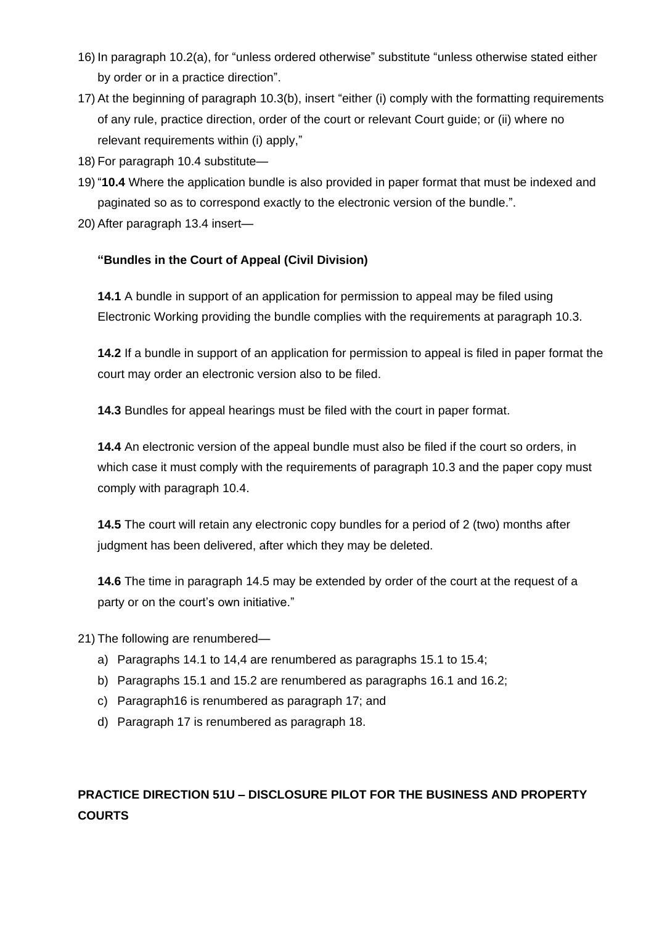- 16) In paragraph 10.2(a), for "unless ordered otherwise" substitute "unless otherwise stated either by order or in a practice direction".
- 17) At the beginning of paragraph 10.3(b), insert "either (i) comply with the formatting requirements of any rule, practice direction, order of the court or relevant Court guide; or (ii) where no relevant requirements within (i) apply,"
- 18) For paragraph 10.4 substitute—
- 19) "**10.4** Where the application bundle is also provided in paper format that must be indexed and paginated so as to correspond exactly to the electronic version of the bundle.".
- 20) After paragraph 13.4 insert—

### **"Bundles in the Court of Appeal (Civil Division)**

**14.1** A bundle in support of an application for permission to appeal may be filed using Electronic Working providing the bundle complies with the requirements at paragraph 10.3.

**14.2** If a bundle in support of an application for permission to appeal is filed in paper format the court may order an electronic version also to be filed.

**14.3** Bundles for appeal hearings must be filed with the court in paper format.

**14.4** An electronic version of the appeal bundle must also be filed if the court so orders, in which case it must comply with the requirements of paragraph 10.3 and the paper copy must comply with paragraph 10.4.

**14.5** The court will retain any electronic copy bundles for a period of 2 (two) months after judgment has been delivered, after which they may be deleted.

**14.6** The time in paragraph 14.5 may be extended by order of the court at the request of a party or on the court's own initiative."

21) The following are renumbered—

- a) Paragraphs 14.1 to 14,4 are renumbered as paragraphs 15.1 to 15.4;
- b) Paragraphs 15.1 and 15.2 are renumbered as paragraphs 16.1 and 16.2;
- c) Paragraph16 is renumbered as paragraph 17; and
- d) Paragraph 17 is renumbered as paragraph 18.

# **PRACTICE DIRECTION 51U – DISCLOSURE PILOT FOR THE BUSINESS AND PROPERTY COURTS**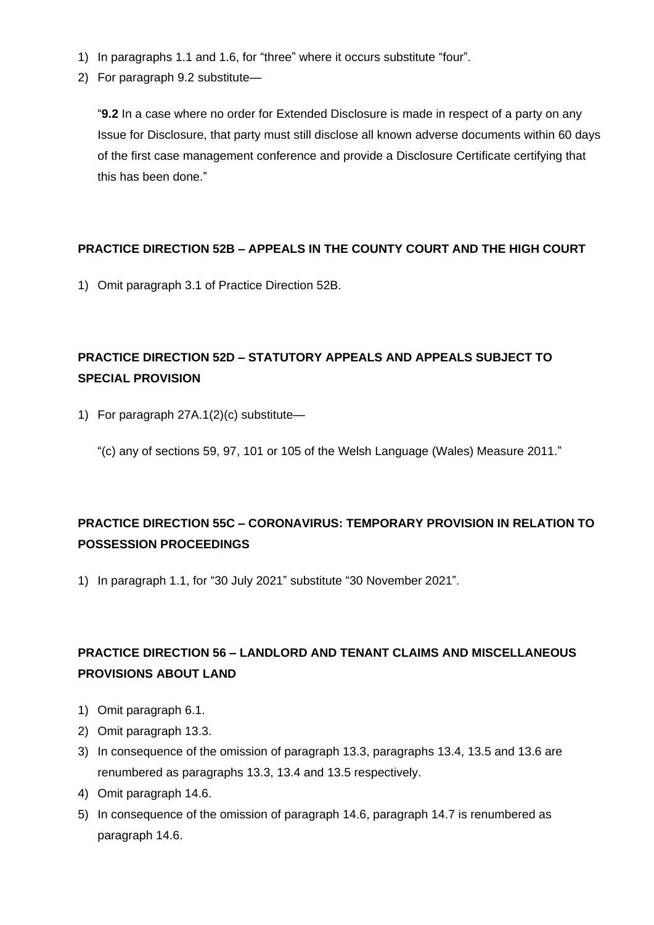- 1) In paragraphs 1.1 and 1.6, for "three" where it occurs substitute "four".
- 2) For paragraph 9.2 substitute—

"**9.2** In a case where no order for Extended Disclosure is made in respect of a party on any Issue for Disclosure, that party must still disclose all known adverse documents within 60 days of the first case management conference and provide a Disclosure Certificate certifying that this has been done."

### **PRACTICE DIRECTION 52B – APPEALS IN THE COUNTY COURT AND THE HIGH COURT**

1) Omit paragraph 3.1 of Practice Direction 52B.

# **PRACTICE DIRECTION 52D – STATUTORY APPEALS AND APPEALS SUBJECT TO SPECIAL PROVISION**

1) For paragraph 27A.1(2)(c) substitute—

"(c) any of sections 59, 97, 101 or 105 of the Welsh Language (Wales) Measure 2011."

# **PRACTICE DIRECTION 55C – CORONAVIRUS: TEMPORARY PROVISION IN RELATION TO POSSESSION PROCEEDINGS**

1) In paragraph 1.1, for "30 July 2021" substitute "30 November 2021".

# **PRACTICE DIRECTION 56 – LANDLORD AND TENANT CLAIMS AND MISCELLANEOUS PROVISIONS ABOUT LAND**

- 1) Omit paragraph 6.1.
- 2) Omit paragraph 13.3.
- 3) In consequence of the omission of paragraph 13.3, paragraphs 13.4, 13.5 and 13.6 are renumbered as paragraphs 13.3, 13.4 and 13.5 respectively.
- 4) Omit paragraph 14.6.
- 5) In consequence of the omission of paragraph 14.6, paragraph 14.7 is renumbered as paragraph 14.6.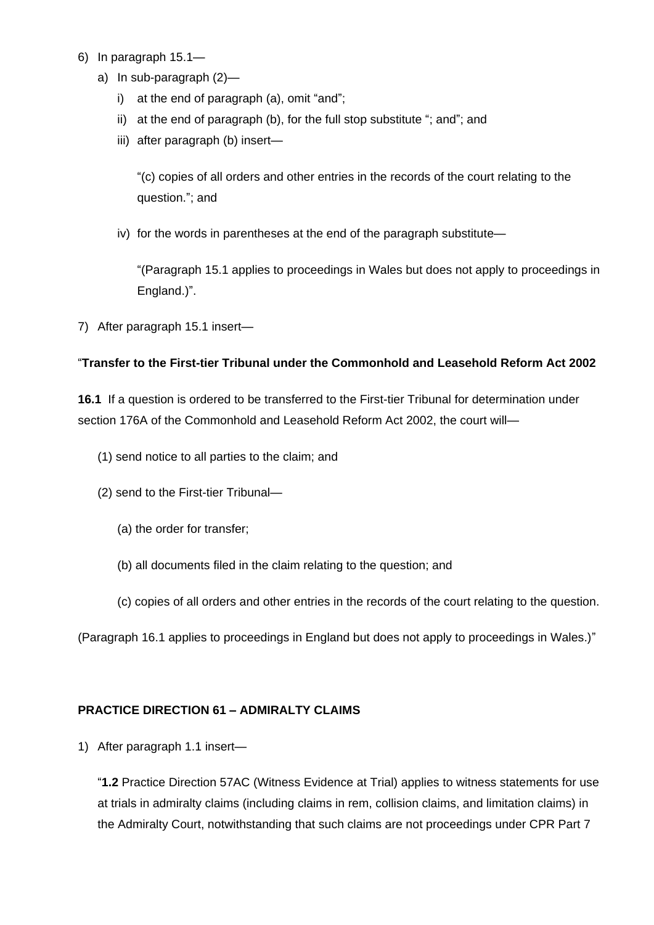- 6) In paragraph 15.1
	- a) In sub-paragraph (2)
		- i) at the end of paragraph (a), omit "and";
		- ii) at the end of paragraph (b), for the full stop substitute "; and"; and
		- iii) after paragraph (b) insert—

"(c) copies of all orders and other entries in the records of the court relating to the question."; and

iv) for the words in parentheses at the end of the paragraph substitute—

"(Paragraph 15.1 applies to proceedings in Wales but does not apply to proceedings in England.)".

7) After paragraph 15.1 insert—

### "**Transfer to the First-tier Tribunal under the Commonhold and Leasehold Reform Act 2002**

**16.1** If a question is ordered to be transferred to the First-tier Tribunal for determination under section 176A of the Commonhold and Leasehold Reform Act 2002, the court will—

- (1) send notice to all parties to the claim; and
- (2) send to the First-tier Tribunal—
	- (a) the order for transfer;
	- (b) all documents filed in the claim relating to the question; and
	- (c) copies of all orders and other entries in the records of the court relating to the question.

(Paragraph 16.1 applies to proceedings in England but does not apply to proceedings in Wales.)"

#### **PRACTICE DIRECTION 61 – ADMIRALTY CLAIMS**

1) After paragraph 1.1 insert—

"**1.2** Practice Direction 57AC (Witness Evidence at Trial) applies to witness statements for use at trials in admiralty claims (including claims in rem, collision claims, and limitation claims) in the Admiralty Court, notwithstanding that such claims are not proceedings under CPR Part 7